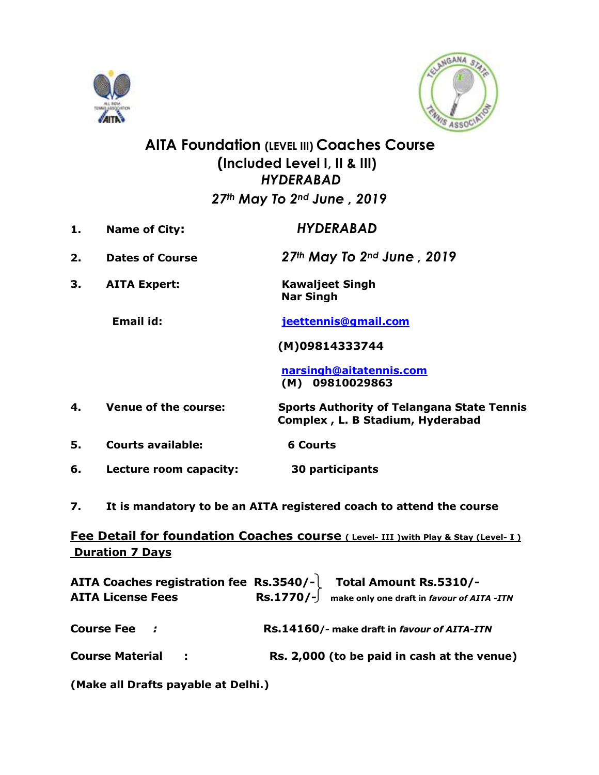



## **AITA Foundation (LEVEL III) Coaches Course (Included Level I, II & III)** *HYDERABAD 27th May To 2nd June , 2019*

- **1. Name of City:** *HYDERABAD*
- **2. Dates of Course** *27th May To 2nd June , 2019*
- **3. AITA Expert: Kawaljeet Singh Nar Singh**

**Email id: [jeettennis@gmail.com](mailto:jeettennis@gmail.com)**

 **(M)09814333744**

 **[narsingh@aitatennis.com](mailto:narsingh@aitatennis.com) (M) 09810029863**

**4. Venue of the course: Sports Authority of Telangana State Tennis Complex , L. B Stadium, Hyderabad** 

- **5. Courts available: 6 Courts**
- **6. Lecture room capacity: 30 participants**
- **7. It is mandatory to be an AITA registered coach to attend the course**

### **Fee Detail for foundation Coaches course** (Level- III ) with Play & Stay (Level- I) **Duration 7 Days**

| <b>AITA License Fees</b> | AITA Coaches registration fee Rs.3540/- Total Amount Rs.5310/-<br>$\text{Rs.1770}/\text{-}$ make only one draft in favour of AITA -ITN |
|--------------------------|----------------------------------------------------------------------------------------------------------------------------------------|
| <b>Course Fee</b> :      | Rs.14160/- make draft in favour of AITA-ITN                                                                                            |
| <b>Course Material :</b> | Rs. 2,000 (to be paid in cash at the venue)                                                                                            |
|                          |                                                                                                                                        |

**(Make all Drafts payable at Delhi.)**